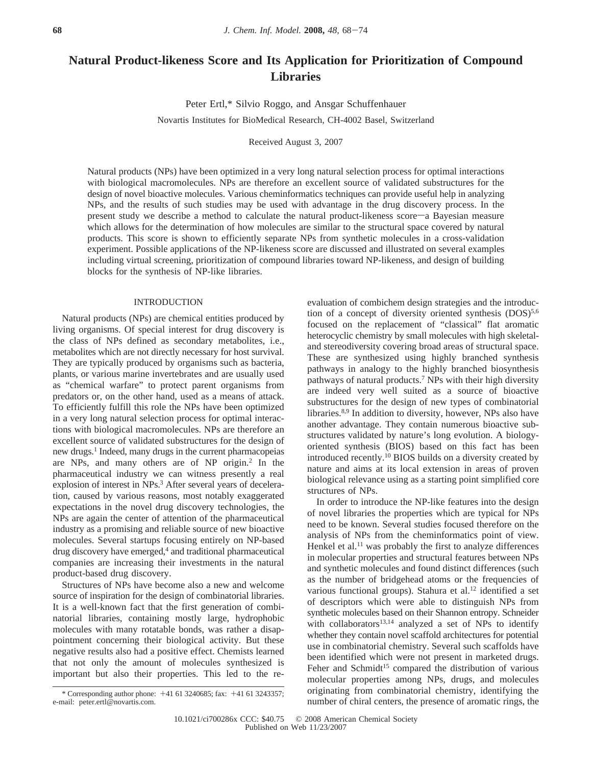# **Natural Product-likeness Score and Its Application for Prioritization of Compound Libraries**

Peter Ertl,\* Silvio Roggo, and Ansgar Schuffenhauer

Novartis Institutes for BioMedical Research, CH-4002 Basel, Switzerland

Received August 3, 2007

Natural products (NPs) have been optimized in a very long natural selection process for optimal interactions with biological macromolecules. NPs are therefore an excellent source of validated substructures for the design of novel bioactive molecules. Various cheminformatics techniques can provide useful help in analyzing NPs, and the results of such studies may be used with advantage in the drug discovery process. In the present study we describe a method to calculate the natural product-likeness score—a Bayesian measure which allows for the determination of how molecules are similar to the structural space covered by natural products. This score is shown to efficiently separate NPs from synthetic molecules in a cross-validation experiment. Possible applications of the NP-likeness score are discussed and illustrated on several examples including virtual screening, prioritization of compound libraries toward NP-likeness, and design of building blocks for the synthesis of NP-like libraries.

## INTRODUCTION

Natural products (NPs) are chemical entities produced by living organisms. Of special interest for drug discovery is the class of NPs defined as secondary metabolites, i.e., metabolites which are not directly necessary for host survival. They are typically produced by organisms such as bacteria, plants, or various marine invertebrates and are usually used as "chemical warfare" to protect parent organisms from predators or, on the other hand, used as a means of attack. To efficiently fulfill this role the NPs have been optimized in a very long natural selection process for optimal interactions with biological macromolecules. NPs are therefore an excellent source of validated substructures for the design of new drugs.1 Indeed, many drugs in the current pharmacopeias are NPs, and many others are of NP origin.2 In the pharmaceutical industry we can witness presently a real explosion of interest in NPs.<sup>3</sup> After several years of deceleration, caused by various reasons, most notably exaggerated expectations in the novel drug discovery technologies, the NPs are again the center of attention of the pharmaceutical industry as a promising and reliable source of new bioactive molecules. Several startups focusing entirely on NP-based drug discovery have emerged,<sup>4</sup> and traditional pharmaceutical companies are increasing their investments in the natural product-based drug discovery.

Structures of NPs have become also a new and welcome source of inspiration for the design of combinatorial libraries. It is a well-known fact that the first generation of combinatorial libraries, containing mostly large, hydrophobic molecules with many rotatable bonds, was rather a disappointment concerning their biological activity. But these negative results also had a positive effect. Chemists learned that not only the amount of molecules synthesized is important but also their properties. This led to the reevaluation of combichem design strategies and the introduction of a concept of diversity oriented synthesis  $(DOS)^{5,6}$ focused on the replacement of "classical" flat aromatic heterocyclic chemistry by small molecules with high skeletaland stereodiversity covering broad areas of structural space. These are synthesized using highly branched synthesis pathways in analogy to the highly branched biosynthesis pathways of natural products.7 NPs with their high diversity are indeed very well suited as a source of bioactive substructures for the design of new types of combinatorial libraries.8,9 In addition to diversity, however, NPs also have another advantage. They contain numerous bioactive substructures validated by nature's long evolution. A biologyoriented synthesis (BIOS) based on this fact has been introduced recently.10 BIOS builds on a diversity created by nature and aims at its local extension in areas of proven biological relevance using as a starting point simplified core structures of NPs.

In order to introduce the NP-like features into the design of novel libraries the properties which are typical for NPs need to be known. Several studies focused therefore on the analysis of NPs from the cheminformatics point of view. Henkel et al.<sup>11</sup> was probably the first to analyze differences in molecular properties and structural features between NPs and synthetic molecules and found distinct differences (such as the number of bridgehead atoms or the frequencies of various functional groups). Stahura et al.<sup>12</sup> identified a set of descriptors which were able to distinguish NPs from synthetic molecules based on their Shannon entropy. Schneider with collaborators<sup>13,14</sup> analyzed a set of NPs to identify whether they contain novel scaffold architectures for potential use in combinatorial chemistry. Several such scaffolds have been identified which were not present in marketed drugs. Feher and Schmidt<sup>15</sup> compared the distribution of various molecular properties among NPs, drugs, and molecules originating from combinatorial chemistry, identifying the \* Corresponding author phone: +41 61 3240685; fax: +41 61 3243357; The sumber of chiral centers, the presence of aromatic rings, the \* number of chiral centers, the presence of aromatic rings, the

e-mail: peter.ertl@novartis.com.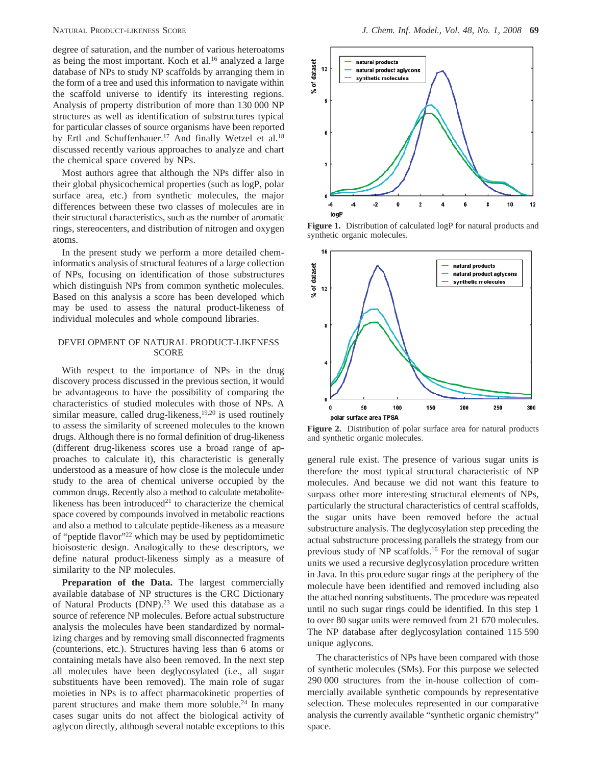degree of saturation, and the number of various heteroatoms as being the most important. Koch et al.<sup>16</sup> analyzed a large database of NPs to study NP scaffolds by arranging them in the form of a tree and used this information to navigate within the scaffold universe to identify its interesting regions. Analysis of property distribution of more than 130 000 NP structures as well as identification of substructures typical for particular classes of source organisms have been reported by Ertl and Schuffenhauer.<sup>17</sup> And finally Wetzel et al.<sup>18</sup> discussed recently various approaches to analyze and chart the chemical space covered by NPs.

Most authors agree that although the NPs differ also in their global physicochemical properties (such as logP, polar surface area, etc.) from synthetic molecules, the major differences between these two classes of molecules are in their structural characteristics, such as the number of aromatic rings, stereocenters, and distribution of nitrogen and oxygen atoms.

In the present study we perform a more detailed cheminformatics analysis of structural features of a large collection of NPs, focusing on identification of those substructures which distinguish NPs from common synthetic molecules. Based on this analysis a score has been developed which may be used to assess the natural product-likeness of individual molecules and whole compound libraries.

### DEVELOPMENT OF NATURAL PRODUCT-LIKENESS **SCORE**

With respect to the importance of NPs in the drug discovery process discussed in the previous section, it would be advantageous to have the possibility of comparing the characteristics of studied molecules with those of NPs. A similar measure, called drug-likeness,<sup>19,20</sup> is used routinely to assess the similarity of screened molecules to the known drugs. Although there is no formal definition of drug-likeness (different drug-likeness scores use a broad range of approaches to calculate it), this characteristic is generally understood as a measure of how close is the molecule under study to the area of chemical universe occupied by the common drugs. Recently also a method to calculate metabolitelikeness has been introduced $21$  to characterize the chemical space covered by compounds involved in metabolic reactions and also a method to calculate peptide-likeness as a measure of "peptide flavor"22 which may be used by peptidomimetic bioisosteric design. Analogically to these descriptors, we define natural product-likeness simply as a measure of similarity to the NP molecules.

**Preparation of the Data.** The largest commercially available database of NP structures is the CRC Dictionary of Natural Products (DNP).<sup>23</sup> We used this database as a source of reference NP molecules. Before actual substructure analysis the molecules have been standardized by normalizing charges and by removing small disconnected fragments (counterions, etc*.*). Structures having less than 6 atoms or containing metals have also been removed. In the next step all molecules have been deglycosylated (i.e., all sugar substituents have been removed). The main role of sugar moieties in NPs is to affect pharmacokinetic properties of parent structures and make them more soluble.<sup>24</sup> In many cases sugar units do not affect the biological activity of aglycon directly, although several notable exceptions to this



Figure 1. Distribution of calculated logP for natural products and synthetic organic molecules.



**Figure 2.** Distribution of polar surface area for natural products and synthetic organic molecules.

general rule exist. The presence of various sugar units is therefore the most typical structural characteristic of NP molecules. And because we did not want this feature to surpass other more interesting structural elements of NPs, particularly the structural characteristics of central scaffolds, the sugar units have been removed before the actual substructure analysis. The deglycosylation step preceding the actual substructure processing parallels the strategy from our previous study of NP scaffolds.16 For the removal of sugar units we used a recursive deglycosylation procedure written in Java. In this procedure sugar rings at the periphery of the molecule have been identified and removed including also the attached nonring substituents. The procedure was repeated until no such sugar rings could be identified. In this step 1 to over 80 sugar units were removed from 21 670 molecules. The NP database after deglycosylation contained 115 590 unique aglycons.

The characteristics of NPs have been compared with those of synthetic molecules (SMs). For this purpose we selected 290 000 structures from the in-house collection of commercially available synthetic compounds by representative selection. These molecules represented in our comparative analysis the currently available "synthetic organic chemistry" space.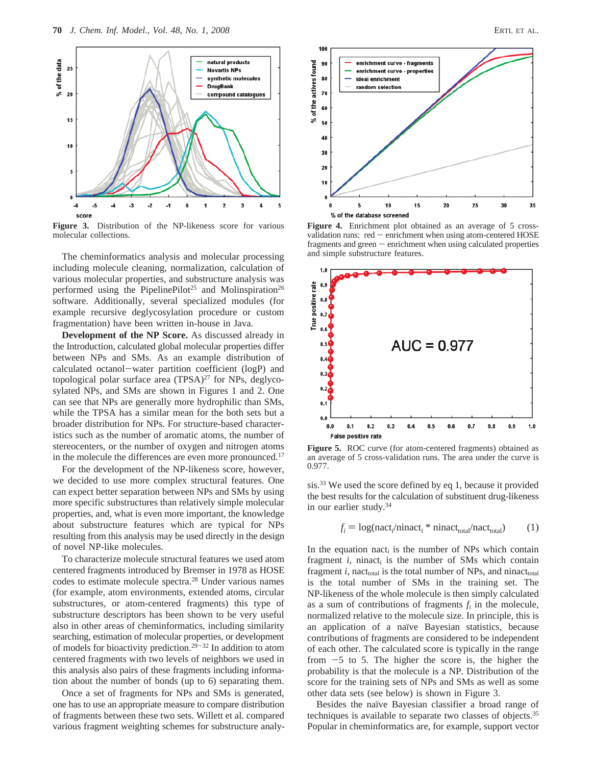

**Figure 3.** Distribution of the NP-likeness score for various molecular collections.

The cheminformatics analysis and molecular processing including molecule cleaning, normalization, calculation of various molecular properties, and substructure analysis was performed using the PipelinePilot<sup>25</sup> and Molinspiration<sup>26</sup> software. Additionally, several specialized modules (for example recursive deglycosylation procedure or custom fragmentation) have been written in-house in Java.

**Development of the NP Score.** As discussed already in the Introduction, calculated global molecular properties differ between NPs and SMs. As an example distribution of calculated octanol-water partition coefficient (logP) and topological polar surface area  $(TPSA)^{27}$  for NPs, deglycosylated NPs, and SMs are shown in Figures 1 and 2. One can see that NPs are generally more hydrophilic than SMs, while the TPSA has a similar mean for the both sets but a broader distribution for NPs. For structure-based characteristics such as the number of aromatic atoms, the number of stereocenters, or the number of oxygen and nitrogen atoms in the molecule the differences are even more pronounced.<sup>17</sup>

For the development of the NP-likeness score, however, we decided to use more complex structural features. One can expect better separation between NPs and SMs by using more specific substructures than relatively simple molecular properties, and, what is even more important, the knowledge about substructure features which are typical for NPs resulting from this analysis may be used directly in the design of novel NP-like molecules.

To characterize molecule structural features we used atom centered fragments introduced by Bremser in 1978 as HOSE codes to estimate molecule spectra.<sup>28</sup> Under various names (for example, atom environments, extended atoms, circular substructures, or atom-centered fragments) this type of substructure descriptors has been shown to be very useful also in other areas of cheminformatics, including similarity searching, estimation of molecular properties, or development of models for bioactivity prediction.<sup>29–32</sup> In addition to atom centered fragments with two levels of neighbors we used in this analysis also pairs of these fragments including information about the number of bonds (up to 6) separating them.

Once a set of fragments for NPs and SMs is generated, one has to use an appropriate measure to compare distribution of fragments between these two sets. Willett et al. compared various fragment weighting schemes for substructure analy-



**Figure 4.** Enrichment plot obtained as an average of 5 crossvalidation runs:  $red$  – enrichment when using atom-centered HOSE fragments and green  $-$  enrichment when using calculated properties and simple substructure features.



**Figure 5.** ROC curve (for atom-centered fragments) obtained as an average of 5 cross-validation runs. The area under the curve is 0.977.

sis.33 We used the score defined by eq 1, because it provided the best results for the calculation of substituent drug-likeness in our earlier study.34

$$
f_i = \log(\text{nact}_i / \text{ninact}_i * \text{ninact}_{\text{total}} / \text{nact}_{\text{total}})
$$
 (1)

In the equation nact<sub>*i*</sub> is the number of NPs which contain fragment *i*, ninact*<sup>i</sup>* is the number of SMs which contain fragment  $i$ , nact<sub>total</sub> is the total number of NPs, and ninact<sub>total</sub> is the total number of SMs in the training set. The NP-likeness of the whole molecule is then simply calculated as a sum of contributions of fragments  $f_i$  in the molecule, normalized relative to the molecule size. In principle, this is an application of a naïve Bayesian statistics, because contributions of fragments are considered to be independent of each other. The calculated score is typically in the range from  $-5$  to 5. The higher the score is, the higher the probability is that the molecule is a NP. Distribution of the score for the training sets of NPs and SMs as well as some other data sets (see below) is shown in Figure 3.

Besides the naïve Bayesian classifier a broad range of techniques is available to separate two classes of objects.<sup>35</sup> Popular in cheminformatics are, for example, support vector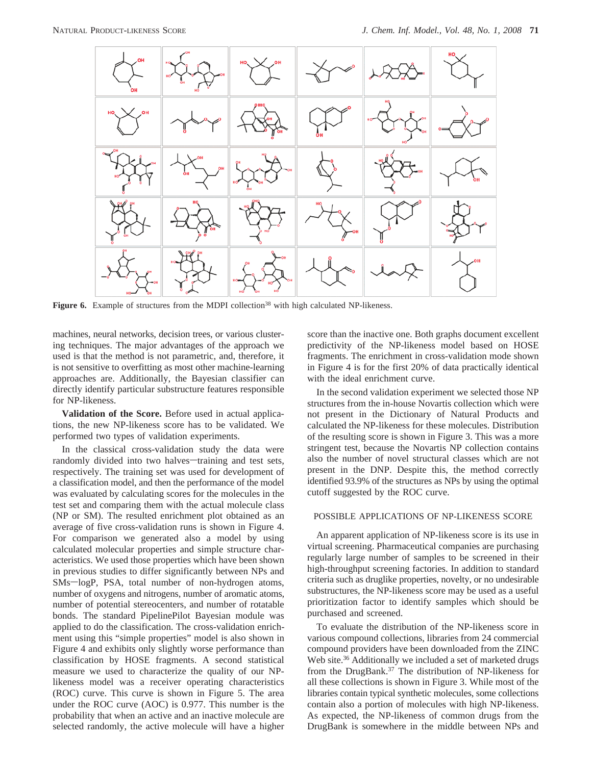

**Figure 6.** Example of structures from the MDPI collection<sup>38</sup> with high calculated NP-likeness.

machines, neural networks, decision trees, or various clustering techniques. The major advantages of the approach we used is that the method is not parametric, and, therefore, it is not sensitive to overfitting as most other machine-learning approaches are. Additionally, the Bayesian classifier can directly identify particular substructure features responsible for NP-likeness.

**Validation of the Score.** Before used in actual applications, the new NP-likeness score has to be validated. We performed two types of validation experiments.

In the classical cross-validation study the data were randomly divided into two halves-training and test sets, respectively. The training set was used for development of a classification model, and then the performance of the model was evaluated by calculating scores for the molecules in the test set and comparing them with the actual molecule class (NP or SM). The resulted enrichment plot obtained as an average of five cross-validation runs is shown in Figure 4. For comparison we generated also a model by using calculated molecular properties and simple structure characteristics. We used those properties which have been shown in previous studies to differ significantly between NPs and SMs-logP, PSA, total number of non-hydrogen atoms, number of oxygens and nitrogens, number of aromatic atoms, number of potential stereocenters, and number of rotatable bonds. The standard PipelinePilot Bayesian module was applied to do the classification. The cross-validation enrichment using this "simple properties" model is also shown in Figure 4 and exhibits only slightly worse performance than classification by HOSE fragments. A second statistical measure we used to characterize the quality of our NPlikeness model was a receiver operating characteristics (ROC) curve. This curve is shown in Figure 5. The area under the ROC curve (AOC) is 0.977. This number is the probability that when an active and an inactive molecule are selected randomly, the active molecule will have a higher

score than the inactive one. Both graphs document excellent predictivity of the NP-likeness model based on HOSE fragments. The enrichment in cross-validation mode shown in Figure 4 is for the first 20% of data practically identical with the ideal enrichment curve.

In the second validation experiment we selected those NP structures from the in-house Novartis collection which were not present in the Dictionary of Natural Products and calculated the NP-likeness for these molecules. Distribution of the resulting score is shown in Figure 3. This was a more stringent test, because the Novartis NP collection contains also the number of novel structural classes which are not present in the DNP. Despite this, the method correctly identified 93.9% of the structures as NPs by using the optimal cutoff suggested by the ROC curve.

# POSSIBLE APPLICATIONS OF NP-LIKENESS SCORE

An apparent application of NP-likeness score is its use in virtual screening. Pharmaceutical companies are purchasing regularly large number of samples to be screened in their high-throughput screening factories. In addition to standard criteria such as druglike properties, novelty, or no undesirable substructures, the NP-likeness score may be used as a useful prioritization factor to identify samples which should be purchased and screened.

To evaluate the distribution of the NP-likeness score in various compound collections, libraries from 24 commercial compound providers have been downloaded from the ZINC Web site.<sup>36</sup> Additionally we included a set of marketed drugs from the DrugBank.37 The distribution of NP-likeness for all these collections is shown in Figure 3. While most of the libraries contain typical synthetic molecules, some collections contain also a portion of molecules with high NP-likeness. As expected, the NP-likeness of common drugs from the DrugBank is somewhere in the middle between NPs and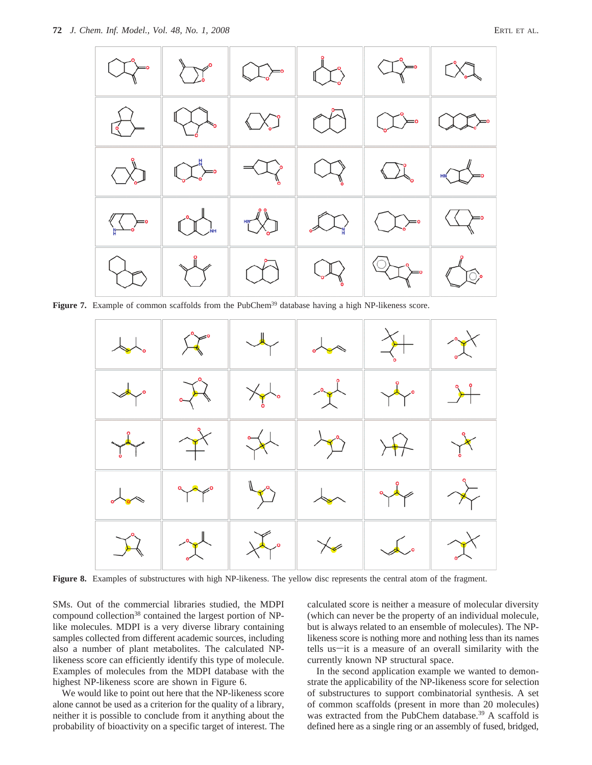

Figure 7. Example of common scaffolds from the PubChem<sup>39</sup> database having a high NP-likeness score.



**Figure 8.** Examples of substructures with high NP-likeness. The yellow disc represents the central atom of the fragment.

SMs. Out of the commercial libraries studied, the MDPI compound collection<sup>38</sup> contained the largest portion of NPlike molecules. MDPI is a very diverse library containing samples collected from different academic sources, including also a number of plant metabolites. The calculated NPlikeness score can efficiently identify this type of molecule. Examples of molecules from the MDPI database with the highest NP-likeness score are shown in Figure 6.

We would like to point out here that the NP-likeness score alone cannot be used as a criterion for the quality of a library, neither it is possible to conclude from it anything about the probability of bioactivity on a specific target of interest. The

calculated score is neither a measure of molecular diversity (which can never be the property of an individual molecule, but is always related to an ensemble of molecules). The NPlikeness score is nothing more and nothing less than its names tells us-it is a measure of an overall similarity with the currently known NP structural space.

In the second application example we wanted to demonstrate the applicability of the NP-likeness score for selection of substructures to support combinatorial synthesis. A set of common scaffolds (present in more than 20 molecules) was extracted from the PubChem database.<sup>39</sup> A scaffold is defined here as a single ring or an assembly of fused, bridged,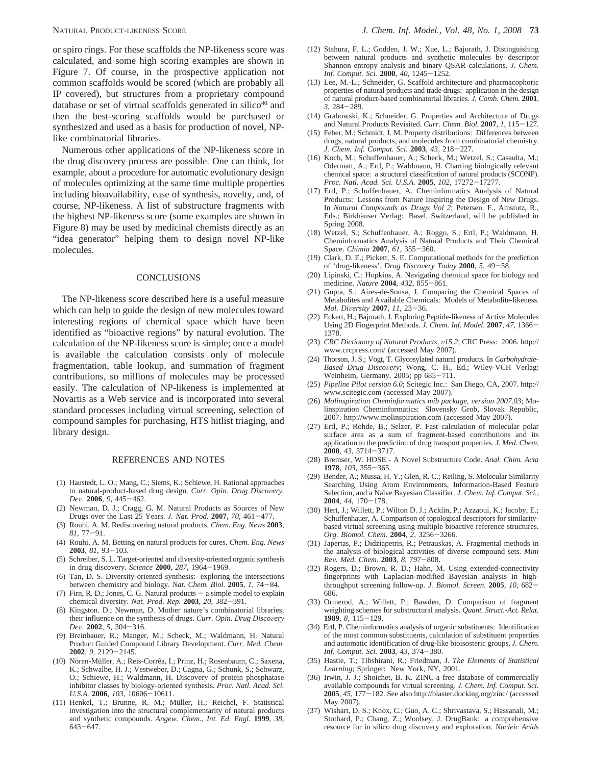or spiro rings. For these scaffolds the NP-likeness score was calculated, and some high scoring examples are shown in Figure 7. Of course, in the prospective application not common scaffolds would be scored (which are probably all IP covered), but structures from a proprietary compound database or set of virtual scaffolds generated in silico<sup>40</sup> and then the best-scoring scaffolds would be purchased or synthesized and used as a basis for production of novel, NPlike combinatorial libraries.

Numerous other applications of the NP-likeness score in the drug discovery process are possible. One can think, for example, about a procedure for automatic evolutionary design of molecules optimizing at the same time multiple properties including bioavailability, ease of synthesis, novelty, and, of course, NP-likeness. A list of substructure fragments with the highest NP-likeness score (some examples are shown in Figure 8) may be used by medicinal chemists directly as an "idea generator" helping them to design novel NP-like molecules.

#### **CONCLUSIONS**

The NP-likeness score described here is a useful measure which can help to guide the design of new molecules toward interesting regions of chemical space which have been identified as "bioactive regions" by natural evolution. The calculation of the NP-likeness score is simple; once a model is available the calculation consists only of molecule fragmentation, table lookup, and summation of fragment contributions, so millions of molecules may be processed easily. The calculation of NP-likeness is implemented at Novartis as a Web service and is incorporated into several standard processes including virtual screening, selection of compound samples for purchasing, HTS hitlist triaging, and library design.

#### REFERENCES AND NOTES

- (1) Haustedt, L. O.; Mang, C.; Siems, K.; Schiewe, H. Rational approaches to natural-product-based drug design. *Curr. Opin. Drug Discovery. De*V*.* **<sup>2006</sup>**, *<sup>9</sup>*, 445-462.
- (2) Newman, D. J.; Cragg, G. M. Natural Products as Sources of New Drugs over the Last 25 Years. *J. Nat. Prod.* **<sup>2007</sup>**, *<sup>70</sup>*, 461-477.
- (3) Rouhi, A. M. Rediscovering natural products. *Chem. Eng. News* **2003**, *<sup>81</sup>*, 77-91.
- (4) Rouhi, A. M. Betting on natural products for cures. *Chem. Eng. News* **<sup>2003</sup>**, *<sup>81</sup>*, 93-103.
- (5) Schreiber, S. L. Target-oriented and diversity-oriented organic synthesis in drug discovery. *Science* **<sup>2000</sup>**, *<sup>287</sup>*, 1964-1969.
- (6) Tan, D. S. Diversity-oriented synthesis: exploring the intersections between chemistry and biology. *Nat. Chem. Biol.* **<sup>2005</sup>**, *<sup>1</sup>*, 74-84.
- (7) Firn, R. D.; Jones, C. G. Natural products  $-$  a simple model to explain chemical diversity. *Nat. Prod. Rep.* **<sup>2003</sup>**, *<sup>20</sup>*, 382-391.
- (8) Kingston. D.; Newman, D. Mother nature's combinatorial libraries; their influence on the synthesis of drugs. *Curr. Opin. Drug Discovery De*V*.* **<sup>2002</sup>**, *<sup>5</sup>*, 304-316.
- (9) Breinbauer, R.; Manger, M.; Scheck, M.; Waldmann, H. Natural Product Guided Compound Library Development. *Curr. Med. Chem.* **<sup>2002</sup>**, *<sup>9</sup>*, 2129-2145.
- (10) Nören-Müller, A.; Reis-Corrêa, I.; Prinz, H.; Rosenbaum, C.; Saxena, K.; Schwalbe, H. J.; Vestweber, D.; Cagna, G.; Schunk, S.; Schwarz, O.; Schiewe, H.; Waldmann, H. Discovery of protein phosphatase inhibitor classes by biology-oriented synthesis. *Proc. Natl. Acad. Sci. U.S.A.* **<sup>2006</sup>**, *<sup>103</sup>*, 10606-10611.
- (11) Henkel, T.; Brunne, R. M.; Müller, H.; Reichel, F. Statistical investigation into the structural complementarity of natural products and synthetic compounds. *Angew. Chem., Int. Ed. Engl.* **1999**, *38*,  $643 - 647$ .
- (12) Stahura, F. L.; Godden, J. W.; Xue, L.; Bajorath, J. Distinguishing between natural products and synthetic molecules by descriptor Shannon entropy analysis and binary QSAR calculations. *J. Chem. Inf. Comput. Sci.* **<sup>2000</sup>**, *<sup>40</sup>*, 1245-1252.
- (13) Lee, M.-L.; Schneider, G. Scaffold architecture and pharmacophoric properties of natural products and trade drugs: application in the design of natural product-based combinatorial libraries. *J. Comb. Chem.* **2001**, *<sup>3</sup>*, 284-289. (14) Grabowski, K.; Schneider, G. Properties and Architecture of Drugs
- and Natural Products Revisited. *Curr. Chem. Biol.* **<sup>2007</sup>**, *<sup>1</sup>*, 115-127.
- (15) Feher, M.; Schmidt, J. M. Property distributions: Differences between drugs, natural products, and molecules from combinatorial chemistry. *J. Chem. Inf. Comput. Sci.* **<sup>2003</sup>**, *<sup>43</sup>*, 218-227.
- (16) Koch, M.; Schuffenhauer, A.; Scheck, M.; Wetzel, S.; Casaulta, M.; Odermatt, A.; Ertl, P.; Waldmann, H. Charting biologically relevant chemical space: a structural classification of natural products (SCONP). *Proc. Natl. Acad. Sci. U.S.A.* **<sup>2005</sup>**, *<sup>102</sup>*, 17272-17277.
- (17) Ertl, P.; Schuffenhauer, A. Cheminformatics Analysis of Natural Products: Lessons from Nature Inspiring the Design of New Drugs. In *Natural Compounds as Drugs Vol 2*; Petersen. F., Amstutz, R., Eds.; Birkhäuser Verlag: Basel, Switzerland, will be published in Spring 2008.
- (18) Wetzel, S.; Schuffenhauer, A.; Roggo, S.; Ertl, P.; Waldmann, H. Cheminformatics Analysis of Natural Products and Their Chemical Space. *Chimia* **<sup>2007</sup>**, *<sup>61</sup>*, 355-360.
- (19) Clark, D. E.; Pickett, S. E. Computational methods for the prediction of 'drug-likeness'. *Drug Disco*V*ery Today* **<sup>2000</sup>**, *<sup>5</sup>*, 49-58.
- (20) Lipinski, C.; Hopkins, A. Navigating chemical space for biology and medicine. *Nature* **<sup>2004</sup>**, *<sup>432</sup>*, 855-861.
- (21) Gupta, S.; Aires-de-Sousa, J. Comparing the Chemical Spaces of Metabolites and Available Chemicals: Models of Metabolite-likeness. *Mol. Di*V*ersity* **<sup>2007</sup>**, *<sup>11</sup>*, 23-36.
- (22) Eckert, H.; Bajorath, J. Exploring Peptide-likeness of Active Molecules Using 2D Fingerprint Methods. *J. Chem. Inf. Model.* **<sup>2007</sup>**, *<sup>47</sup>*, 1366- 1378.
- (23) *CRC Dictionary of Natural Products, v15.2*; CRC Press: 2006. http:// www.crcpress.com/ (accessed May 2007).
- (24) Thorson, J. S.; Vogt, T. Glycosylated natural products. In *Carbohydrate-Based Drug Discovery*; Wong, C. H., Ed.; Wiley-VCH Verlag:<br>Weinheim Germany 2005: pp.685-711 Weinheim, Germany, 2005; pp 685-711.<br>*Pineline Pilot version* 6.0: Scitegic Inc.: S
- (25) *Pipeline Pilot* V*ersion 6.0*; Scitegic Inc.: San Diego, CA, 2007. http:// www.scitegic.com (accessed May 2007).
- (26) *Molinspiration Cheminformatics mib package,* V*ersion 2007.03*; Molinspiration Cheminformatics: Slovensky Grob, Slovak Republic, 2007. http://www.molinspiration.com (accessed May 2007).
- (27) Ertl, P.; Rohde, B.; Selzer, P. Fast calculation of molecular polar surface area as a sum of fragment-based contributions and its application to the prediction of drug transport properties. *J. Med. Chem.* **<sup>2000</sup>**, *<sup>43</sup>*, 3714-3717.
- (28) Bremser, W. HOSE A Novel Substructure Code. *Anal. Chim. Acta* **<sup>1978</sup>**, *<sup>103</sup>*, 355-365.
- (29) Bender, A.; Mussa, H. Y.; Glen, R. C.; Reiling, S. Molecular Similarity Searching Using Atom Environments, Information-Based Feature Selection, and a Naïve Bayesian Classifier. *J. Chem. Inf. Comput. Sci.*, **<sup>2004</sup>**, *<sup>44</sup>*, 170-178.
- (30) Hert, J.; Willett, P.; Wilton D. J.; Acklin, P.; Azzaoui, K.; Jacoby, E.; Schuffenhauer, A. Comparison of topological descriptors for similaritybased virtual screening using multiple bioactive reference structures. *Org. Biomol. Chem*. **<sup>2004</sup>**, *<sup>2</sup>*, 3256-3266.
- (31) Japertas, P.; Didziapetris, R.; Petrauskas, A. Fragmental methods in the analysis of biological activities of diverse compound sets. *Mini Re*V*. Med. Chem.* **<sup>2003</sup>**, *<sup>8</sup>*, 797-808.
- (32) Rogers, D.; Brown, R. D.; Hahn, M. Using extended-connectivity fingerprints with Laplacian-modified Bayesian analysis in highthroughput screening follow-up. *J. Biomol. Screen.* **<sup>2005</sup>**, *<sup>10</sup>*, 682- 686.
- (33) Ormerod, A.; Willett, P.; Bawden, D. Comparison of fragment weighting schemes for substructural analysis. *Quant. Struct.-Act. Relat.* **<sup>1989</sup>**, *<sup>8</sup>*, 115-129.
- (34) Ertl, P. Cheminformatics analysis of organic substituents: Identification of the most common substituents, calculation of substituent properties and automatic identification of drug-like bioisosteric groups. *J. Chem. Inf. Comput. Sci.* **<sup>2003</sup>**, *<sup>43</sup>*, 374-380.
- (35) Hastie, T.; Tibshirani, R.; Friedman, J. *The Elements of Statistical Learning*; Springer: New York, NY, 2001.
- (36) Irwin, J. J.; Shoichet, B. K. ZINC-a free database of commercially available compounds for virtual screening. *J. Chem. Inf. Comput. Sci.* **<sup>2005</sup>**, *<sup>45</sup>*, 177-182. See also http://blaster.docking.org/zinc/ (accessed May 2007).
- (37) Wishart, D. S.; Knox, C.; Guo, A. C.; Shrivastava, S.; Hassanali, M.; Stothard, P.; Chang, Z.; Woolsey, J. DrugBank: a comprehensive resource for in silico drug discovery and exploration. *Nucleic Acids*